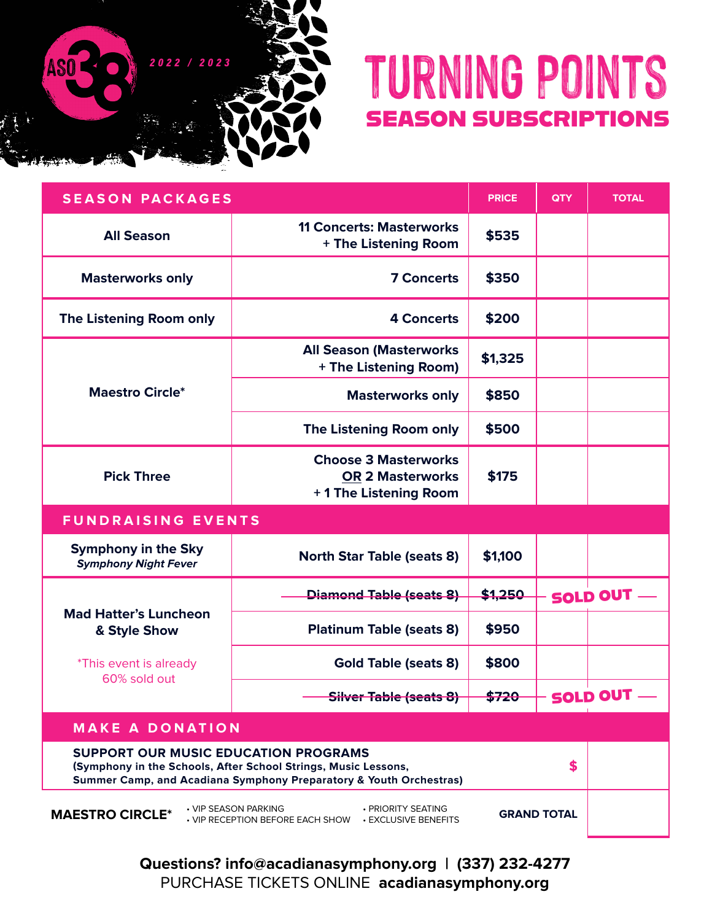

## **TURNING POINTS** SEASON SUBSCRIPTIONS

| <b>SEASON PACKAGES</b>                                    | <b>PRICE</b>                                                                                                                         | <b>QTY</b> | <b>TOTAL</b> |                   |  |  |  |  |  |
|-----------------------------------------------------------|--------------------------------------------------------------------------------------------------------------------------------------|------------|--------------|-------------------|--|--|--|--|--|
| <b>All Season</b>                                         | <b>11 Concerts: Masterworks</b><br>+ The Listening Room                                                                              | \$535      |              |                   |  |  |  |  |  |
| <b>Masterworks only</b>                                   | <b>7 Concerts</b>                                                                                                                    | \$350      |              |                   |  |  |  |  |  |
| The Listening Room only                                   | <b>4 Concerts</b>                                                                                                                    | \$200      |              |                   |  |  |  |  |  |
|                                                           | <b>All Season (Masterworks</b><br>+ The Listening Room)                                                                              | \$1,325    |              |                   |  |  |  |  |  |
| <b>Maestro Circle*</b>                                    | <b>Masterworks only</b>                                                                                                              | \$850      |              |                   |  |  |  |  |  |
|                                                           | The Listening Room only                                                                                                              | \$500      |              |                   |  |  |  |  |  |
| <b>Pick Three</b>                                         | <b>Choose 3 Masterworks</b><br><b>OR 2 Masterworks</b><br>+1 The Listening Room                                                      | \$175      |              |                   |  |  |  |  |  |
| <b>FUNDRAISING EVENTS</b>                                 |                                                                                                                                      |            |              |                   |  |  |  |  |  |
|                                                           |                                                                                                                                      |            |              |                   |  |  |  |  |  |
| <b>Symphony in the Sky</b><br><b>Symphony Night Fever</b> | <b>North Star Table (seats 8)</b>                                                                                                    | \$1,100    |              |                   |  |  |  |  |  |
|                                                           | <b>Diamond Table (seats 8)</b>                                                                                                       | \$1,250    |              | <b>SOLD OUT -</b> |  |  |  |  |  |
| <b>Mad Hatter's Luncheon</b><br>& Style Show              | <b>Platinum Table (seats 8)</b>                                                                                                      | \$950      |              |                   |  |  |  |  |  |
| *This event is already                                    | <b>Gold Table (seats 8)</b>                                                                                                          | \$800      |              |                   |  |  |  |  |  |
| 60% sold out                                              | <del>Silver Table (seats 8)</del>                                                                                                    | \$720      |              | <b>SOLD OUT</b>   |  |  |  |  |  |
| <b>MAKE A DONATION</b>                                    |                                                                                                                                      |            |              |                   |  |  |  |  |  |
| SUPPORT OUR MUSIC EDUCATION PROGRAMS                      | (Symphony in the Schools, After School Strings, Music Lessons,<br>Summer Camp, and Acadiana Symphony Preparatory & Youth Orchestras) |            | \$           |                   |  |  |  |  |  |

**Questions? info@acadianasymphony.org | (337) 232-4277** PURCHASE TICKETS ONLINE **acadianasymphony.org**